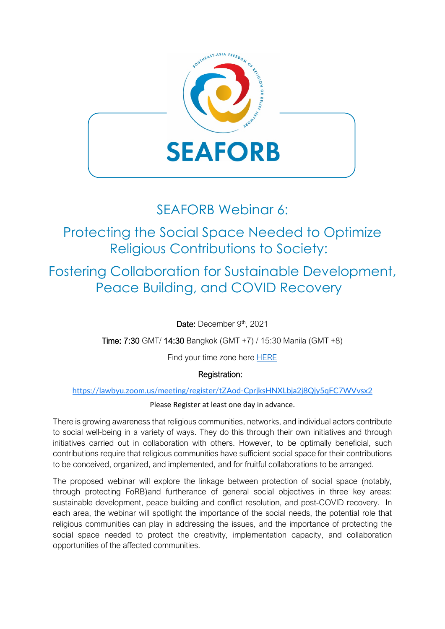

## SEAFORB Webinar 6:

# Protecting the Social Space Needed to Optimize Religious Contributions to Society:

Fostering Collaboration for Sustainable Development, Peace Building, and COVID Recovery

Date: December 9th, 2021

Time: 7:30 GMT/ 14:30 Bangkok (GMT +7) / 15:30 Manila (GMT +8)

Find your time zone here **HERE** 

### Registration:

<https://lawbyu.zoom.us/meeting/register/tZAod-CprjksHNXLbja2j8Qjy5qFC7WVvsx2>

### Please Register at least one day in advance.

There is growing awareness that religious communities, networks, and individual actors contribute to social well-being in a variety of ways. They do this through their own initiatives and through initiatives carried out in collaboration with others. However, to be optimally beneficial, such contributions require that religious communities have sufficient social space for their contributions to be conceived, organized, and implemented, and for fruitful collaborations to be arranged.

The proposed webinar will explore the linkage between protection of social space (notably, through protecting FoRB)and furtherance of general social objectives in three key areas: sustainable development, peace building and conflict resolution, and post-COVID recovery. In each area, the webinar will spotlight the importance of the social needs, the potential role that religious communities can play in addressing the issues, and the importance of protecting the social space needed to protect the creativity, implementation capacity, and collaboration opportunities of the affected communities.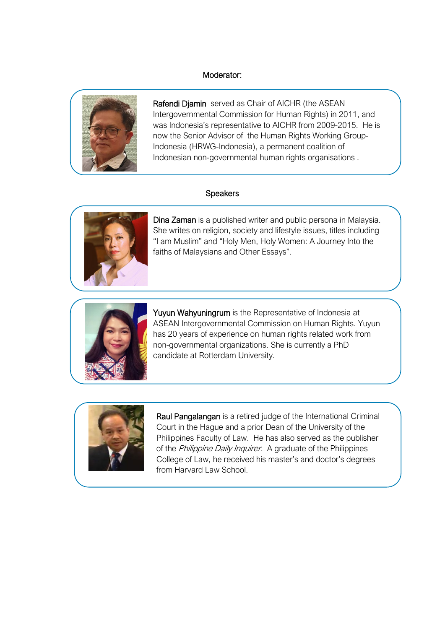### Moderator:



Rafendi Djamin served as Chair of AICHR (the ASEAN Intergovernmental Commission for Human Rights) in 2011, and was Indonesia's representative to AICHR from 2009-2015. He is now the Senior Advisor of the Human Rights Working Group-Indonesia (HRWG-Indonesia), a permanent coalition of Indonesian non-governmental human rights organisations .

#### **Speakers**

j



 She writes on religion, society and lifestyle issues, titles including "I am Muslim" and "Holy Men, Holy Women: A Journey Into the Dina Zaman is a published writer and public persona in Malaysia. faiths of Malaysians and Other Essays".



Yuyun Wahyuningrum is the Representative of Indonesia at ASEAN Intergovernmental Commission on Human Rights. Yuyun has 20 years of experience on human rights related work from non-governmental organizations. She is currently a PhD candidate at Rotterdam University.



Raul Pangalangan is a retired judge of the International Criminal Court in the Hague and a prior Dean of the University of the Philippines Faculty of Law. He has also served as the publisher of the Philippine Daily Inquirer. A graduate of the Philippines College of Law, he received his master's and doctor's degrees from Harvard Law School.